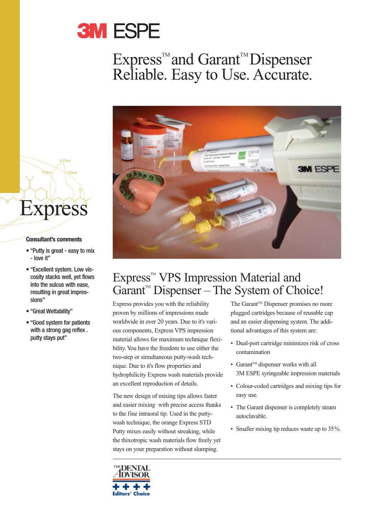

## Express<sup>™</sup> and Garant<sup>™</sup> Dispenser Reliable. Easy to Use. Accurate.



## Express<sup>™</sup> VPS Impression Material and Garant<sup> $M$ </sup> Dispenser – The System of Choice!

Express provides you with the reliability proven by millions of impressions made worldwide in over 20 years. Due to it's various components, Express VPS impression material allows for maximum technique flexibility. You have the freedom to use either the two-step or simultaneous putty-wash technique. Due to it's flow properties and hydrophilicity Express wash materials provide an excellent reproduction of details.

The new design of mixing tips allows faster and easier mixing with precise access thanks to the fine intraoral tip. Used in the puttywash technique, the orange Express STD Putty mixes easily without streaking, while the thixotropic wash materials flow freely yet stays on your preparation without slumping.

The Garant™ Dispenser promises no more plugged cartridges because of reusable cap and an easier dispensing system. The additional advantages of this system are:

- Dual-port cartridge minimizes risk of cross contamination
- Garant<sup>™</sup> dispenser works with all 3M ESPE syringeable impression materials
- Colour-coded cartridges and mixing tips for easy use.
- The Garant dispenser is completely steam autoclavable.
- Smaller mixing tip reduces waste up to 35%.

# Express

 $\sum_{n=1}^{\infty}$ 

 $2.0mm$ 

#### **Consultant's comments**

- "Putty is great easy to mix - love it"
- "Excellent system. Low viscosity stacks well, yet flows into the sulcus with ease, resulting in great impressions"
- "Great Wettability"
- "Good system for patients with a strong gag reflex . putty stays put"